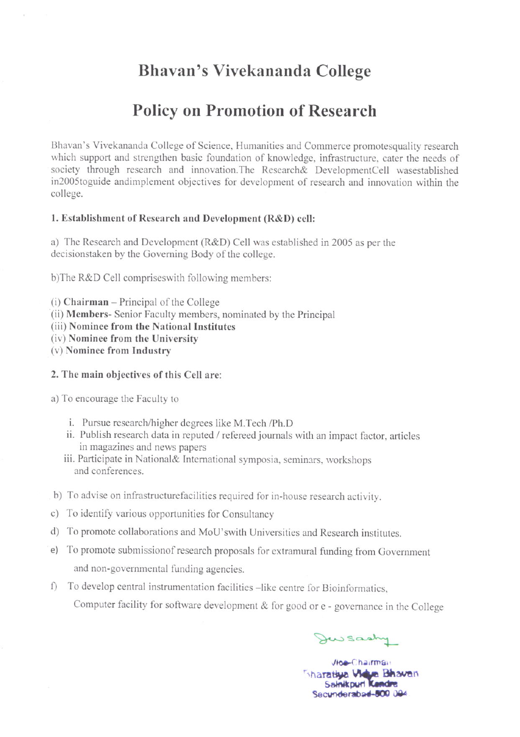## Bhavan's Vivekananda College

# **Policy on Promotion of Research**

Bhavan's Vivekananda College of Science, Humanities and Commerce promotesquality research which support and strengthen basic foundation of knowledge, infrastructure, cater the needs of society through research and innovation. The Research& DevelopmentCell wasestablished in2005toguide and implement objectives for development of research and innovation within the college.

## 1. Establishment of Research and Development (R&D) cell:

a) The Research and Development (R&D) Cell was established in 2005 as per the decisionstaken by the Governing Body of the college.

b)The R&D Cell comprises with following members:

(i) Chairman - Principal of the College

(ii) Members- Senior Faculty members, nominated by the Principal

(iii) Nominee from the National Institutes

(iv) Nominee from the University

(v) Nominee from Industry

#### 2. The main objectives of this Cell are:

a) To encourage the Faculty to

- i. Pursue research/higher degrees like M.Tech /Ph.D
- ii. Publish research data in reputed / refereed journals with an impact factor, articles in magazines and news papers
- iii. Participate in National& International symposia, seminars, workshops and conferences
- b) To advise on infrastructurefacilities required for in-house research activity.
- c) To identify various opportunities for Consultancy
- d) To promote collaborations and MoU'swith Universities and Research institutes.
- e) To promote submission of research proposals for extramural funding from Government and non-governmental funding agencies.
- f) To develop central instrumentation facilities -like centre for Bioinformatics, Computer facility for software development & for good or e - governance in the College

Dewsashy

Vioe-Chairman **Sharatiya Vidya Bhavan** Secunderabad-800 004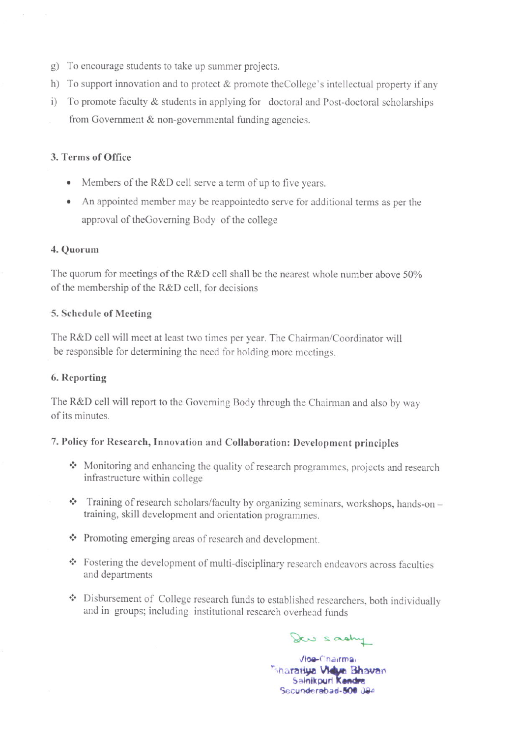- g) To encourage students to take up summer projects.
- h) To support innovation and to protect  $&$  promote the College's intellectual property if any
- i) To promote faculty & students in applying for doctoral and Post-doctoral scholarships from Government & non-governmental funding agencies.

## 3. Terms of Office

- Members of the R&D cell serve a term of up to five years.
- An appointed member may be reappointed to serve for additional terms as per the approval of the Governing Body of the college

## 4. Quorum

The quorum for meetings of the R&D cell shall be the nearest whole number above 50% of the membership of the R&D cell, for decisions

#### 5. Schedule of Meeting

The R&D cell will meet at least two times per year. The Chairman/Coordinator will be responsible for determining the need for holding more meetings.

## 6. Reporting

The R&D cell will report to the Governing Body through the Chairman and also by way of its minutes.

## 7. Policy for Research, Innovation and Collaboration: Development principles

- Monitoring and enhancing the quality of research programmes, projects and research infrastructure within college
- $\cdot$  Training of research scholars/faculty by organizing seminars, workshops, hands-on training, skill development and orientation programmes.
- ❖ Promoting emerging areas of research and development.
- \* Fostering the development of multi-disciplinary research endeavors across faculties and departments
- ❖ Disbursement of College research funds to established researchers, both individually and in groups; including institutional research overhead funds

Dew sastry

Vioe-Chairmai Sharatiya Vidya Bhavan Salnikpurl Kendre Secunderabad-500 JB4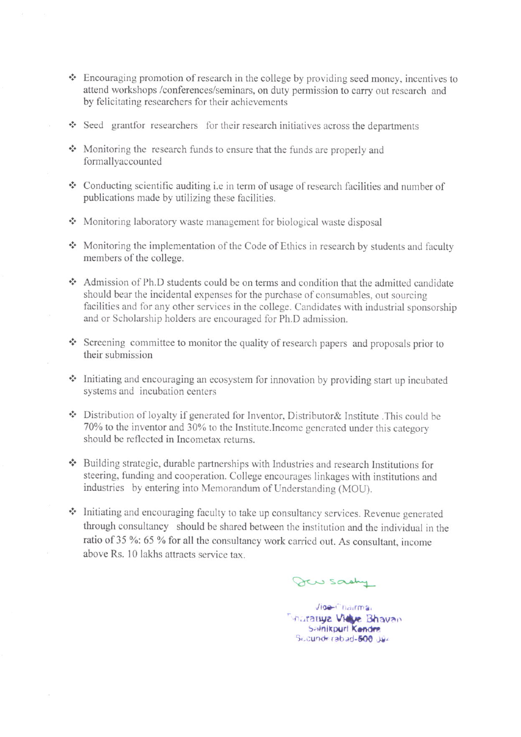- $\cdot$  Encouraging promotion of research in the college by providing seed money, incentives to attend workshops /conferences/seminars, on duty permission to carry out research and by felicitating researchers for their achievements
- $\cdot$  Seed grantfor researchers for their research initiatives across the departments
- Monitoring the research funds to ensure that the funds are properly and formallyaccounted
- Conducting scientific auditing i.e in term of usage of research facilities and number of publications made by utilizing these facilities.
- Monitoring laboratory waste management for biological waste disposal
- $\cdot$  Monitoring the implementation of the Code of Ethics in research by students and faculty members of the college.
- Admission of Ph.D students could be on terms and condition that the admitted candidate should bear the incidental expenses for the purchase of consumables, out sourcing facilities and for any other services in the college. Candidates with industrial sponsorship and or Scholarship holders are encouraged for Ph.D admission.
- $\cdot$  Screening committee to monitor the quality of research papers and proposals prior to their submission
- $\cdot$  Initiating and encouraging an ecosystem for innovation by providing start up incubated systems and incubation centers
- \* Distribution of loyalty if generated for Inventor, Distributor& Institute .This could be 70% to the inventor and 30% to the Institute. Income generated under this category should be reflected in Incometax retums.
- .:. Building strategic, durable partnerships with Industrics and research Institutions for steering, funding and cooperation. College encourages linkages with institutions and industries by entering into Memorandum of Understanding (MOU).
- .:. Initiating and encouraging faculty to take up consultancy services. Revenue generated through consultancy should be shared between the institution and the individual in the ratio of 35 %: 65 % for all the consultancy work carried out. As consultant, income above Rs. 10 lakhs attracts service tax.

gau sachy

 $Y$ id $e$ <sup> $n$ </sup> hairma, **Incrativa Vidue Bhavan** Salnikpuri Kendre Sc.cunderabad-600 Jun